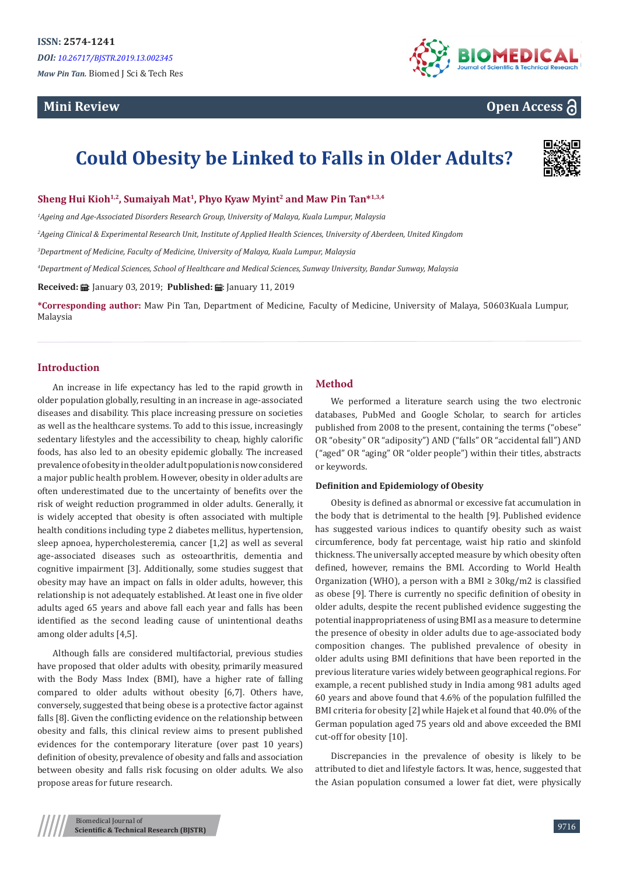# **Mini Review**



# **Open Access**

# **Could Obesity be Linked to Falls in Older Adults?**



## **Sheng Hui Kioh1,2, Sumaiyah Mat<sup>1</sup>, Phyo Kyaw Myint<sup>2</sup> and Maw Pin Tan\*1,3,4**

*1 Ageing and Age-Associated Disorders Research Group, University of Malaya, Kuala Lumpur, Malaysia* 

*2 Ageing Clinical & Experimental Research Unit, Institute of Applied Health Sciences, University of Aberdeen, United Kingdom*

*3 Department of Medicine, Faculty of Medicine, University of Malaya, Kuala Lumpur, Malaysia*

*4 Department of Medical Sciences, School of Healthcare and Medical Sciences, Sunway University, Bandar Sunway, Malaysia*

**Received:** ■: January 03, 2019; **Published:** ■: January 11, 2019

**\*Corresponding author:** Maw Pin Tan, Department of Medicine, Faculty of Medicine, University of Malaya, 50603Kuala Lumpur, Malaysia

## **Introduction**

An increase in life expectancy has led to the rapid growth in older population globally, resulting in an increase in age-associated diseases and disability. This place increasing pressure on societies as well as the healthcare systems. To add to this issue, increasingly sedentary lifestyles and the accessibility to cheap, highly calorific foods, has also led to an obesity epidemic globally. The increased prevalence of obesity in the older adult population is now considered a major public health problem. However, obesity in older adults are often underestimated due to the uncertainty of benefits over the risk of weight reduction programmed in older adults. Generally, it is widely accepted that obesity is often associated with multiple health conditions including type 2 diabetes mellitus, hypertension, sleep apnoea, hypercholesteremia, cancer [1,2] as well as several age-associated diseases such as osteoarthritis, dementia and cognitive impairment [3]. Additionally, some studies suggest that obesity may have an impact on falls in older adults, however, this relationship is not adequately established. At least one in five older adults aged 65 years and above fall each year and falls has been identified as the second leading cause of unintentional deaths among older adults [4,5].

Although falls are considered multifactorial, previous studies have proposed that older adults with obesity, primarily measured with the Body Mass Index (BMI), have a higher rate of falling compared to older adults without obesity [6,7]. Others have, conversely, suggested that being obese is a protective factor against falls [8]. Given the conflicting evidence on the relationship between obesity and falls, this clinical review aims to present published evidences for the contemporary literature (over past 10 years) definition of obesity, prevalence of obesity and falls and association between obesity and falls risk focusing on older adults. We also propose areas for future research.

# **Method**

We performed a literature search using the two electronic databases, PubMed and Google Scholar, to search for articles published from 2008 to the present, containing the terms ("obese" OR "obesity" OR "adiposity") AND ("falls" OR "accidental fall") AND ("aged" OR "aging" OR "older people") within their titles, abstracts or keywords.

#### **Definition and Epidemiology of Obesity**

Obesity is defined as abnormal or excessive fat accumulation in the body that is detrimental to the health [9]. Published evidence has suggested various indices to quantify obesity such as waist circumference, body fat percentage, waist hip ratio and skinfold thickness. The universally accepted measure by which obesity often defined, however, remains the BMI. According to World Health Organization (WHO), a person with a BMI  $\geq$  30kg/m2 is classified as obese [9]. There is currently no specific definition of obesity in older adults, despite the recent published evidence suggesting the potential inappropriateness of using BMI as a measure to determine the presence of obesity in older adults due to age-associated body composition changes. The published prevalence of obesity in older adults using BMI definitions that have been reported in the previous literature varies widely between geographical regions. For example, a recent published study in India among 981 adults aged 60 years and above found that 4.6% of the population fulfilled the BMI criteria for obesity [2] while Hajek et al found that 40.0% of the German population aged 75 years old and above exceeded the BMI cut-off for obesity [10].

Discrepancies in the prevalence of obesity is likely to be attributed to diet and lifestyle factors. It was, hence, suggested that the Asian population consumed a lower fat diet, were physically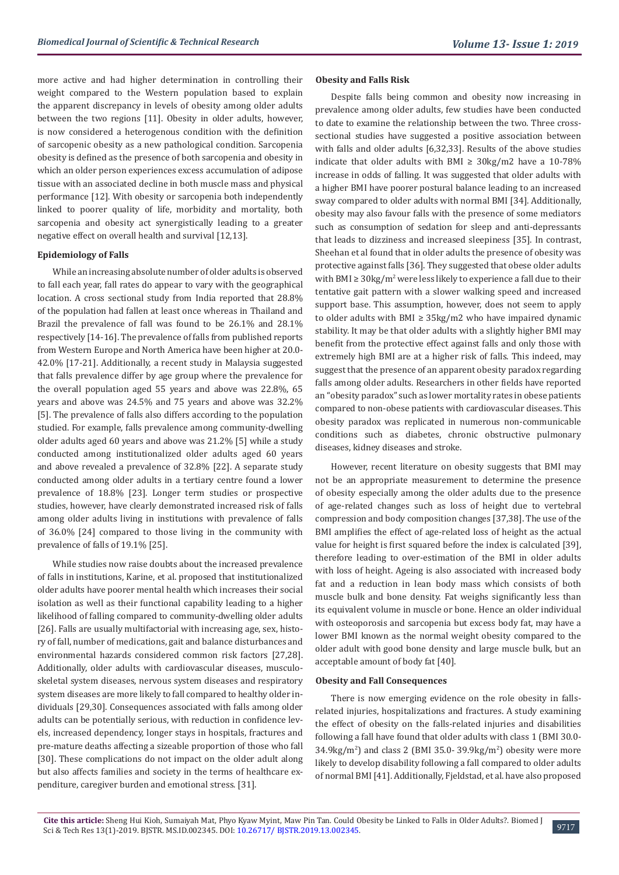more active and had higher determination in controlling their weight compared to the Western population based to explain the apparent discrepancy in levels of obesity among older adults between the two regions [11]. Obesity in older adults, however, is now considered a heterogenous condition with the definition of sarcopenic obesity as a new pathological condition. Sarcopenia obesity is defined as the presence of both sarcopenia and obesity in which an older person experiences excess accumulation of adipose tissue with an associated decline in both muscle mass and physical performance [12]. With obesity or sarcopenia both independently linked to poorer quality of life, morbidity and mortality, both sarcopenia and obesity act synergistically leading to a greater negative effect on overall health and survival [12,13].

#### **Epidemiology of Falls**

While an increasing absolute number of older adults is observed to fall each year, fall rates do appear to vary with the geographical location. A cross sectional study from India reported that 28.8% of the population had fallen at least once whereas in Thailand and Brazil the prevalence of fall was found to be 26.1% and 28.1% respectively [14-16]. The prevalence of falls from published reports from Western Europe and North America have been higher at 20.0- 42.0% [17-21]. Additionally, a recent study in Malaysia suggested that falls prevalence differ by age group where the prevalence for the overall population aged 55 years and above was 22.8%, 65 years and above was 24.5% and 75 years and above was 32.2% [5]. The prevalence of falls also differs according to the population studied. For example, falls prevalence among community-dwelling older adults aged 60 years and above was 21.2% [5] while a study conducted among institutionalized older adults aged 60 years and above revealed a prevalence of 32.8% [22]. A separate study conducted among older adults in a tertiary centre found a lower prevalence of 18.8% [23]. Longer term studies or prospective studies, however, have clearly demonstrated increased risk of falls among older adults living in institutions with prevalence of falls of 36.0% [24] compared to those living in the community with prevalence of falls of 19.1% [25].

While studies now raise doubts about the increased prevalence of falls in institutions, Karine, et al. proposed that institutionalized older adults have poorer mental health which increases their social isolation as well as their functional capability leading to a higher likelihood of falling compared to community-dwelling older adults [26]. Falls are usually multifactorial with increasing age, sex, history of fall, number of medications, gait and balance disturbances and environmental hazards considered common risk factors [27,28]. Additionally, older adults with cardiovascular diseases, musculoskeletal system diseases, nervous system diseases and respiratory system diseases are more likely to fall compared to healthy older individuals [29,30]. Consequences associated with falls among older adults can be potentially serious, with reduction in confidence levels, increased dependency, longer stays in hospitals, fractures and pre-mature deaths affecting a sizeable proportion of those who fall [30]. These complications do not impact on the older adult along but also affects families and society in the terms of healthcare expenditure, caregiver burden and emotional stress. [31].

#### **Obesity and Falls Risk**

Despite falls being common and obesity now increasing in prevalence among older adults, few studies have been conducted to date to examine the relationship between the two. Three crosssectional studies have suggested a positive association between with falls and older adults [6,32,33]. Results of the above studies indicate that older adults with BMI  $\geq$  30kg/m2 have a 10-78% increase in odds of falling. It was suggested that older adults with a higher BMI have poorer postural balance leading to an increased sway compared to older adults with normal BMI [34]. Additionally, obesity may also favour falls with the presence of some mediators such as consumption of sedation for sleep and anti-depressants that leads to dizziness and increased sleepiness [35]. In contrast, Sheehan et al found that in older adults the presence of obesity was protective against falls [36]. They suggested that obese older adults with BMI ≥  $30\text{kg/m}^2$  were less likely to experience a fall due to their tentative gait pattern with a slower walking speed and increased support base. This assumption, however, does not seem to apply to older adults with BMI  $\geq$  35kg/m2 who have impaired dynamic stability. It may be that older adults with a slightly higher BMI may benefit from the protective effect against falls and only those with extremely high BMI are at a higher risk of falls. This indeed, may suggest that the presence of an apparent obesity paradox regarding falls among older adults. Researchers in other fields have reported an "obesity paradox" such as lower mortality rates in obese patients compared to non-obese patients with cardiovascular diseases. This obesity paradox was replicated in numerous non-communicable conditions such as diabetes, chronic obstructive pulmonary diseases, kidney diseases and stroke.

However, recent literature on obesity suggests that BMI may not be an appropriate measurement to determine the presence of obesity especially among the older adults due to the presence of age-related changes such as loss of height due to vertebral compression and body composition changes [37,38]. The use of the BMI amplifies the effect of age-related loss of height as the actual value for height is first squared before the index is calculated [39], therefore leading to over-estimation of the BMI in older adults with loss of height. Ageing is also associated with increased body fat and a reduction in lean body mass which consists of both muscle bulk and bone density. Fat weighs significantly less than its equivalent volume in muscle or bone. Hence an older individual with osteoporosis and sarcopenia but excess body fat, may have a lower BMI known as the normal weight obesity compared to the older adult with good bone density and large muscle bulk, but an acceptable amount of body fat [40].

#### **Obesity and Fall Consequences**

There is now emerging evidence on the role obesity in fallsrelated injuries, hospitalizations and fractures. A study examining the effect of obesity on the falls-related injuries and disabilities following a fall have found that older adults with class 1 (BMI 30.0- 34.9kg/m<sup>2</sup> ) and class 2 (BMI 35.0- 39.9kg/m<sup>2</sup> ) obesity were more likely to develop disability following a fall compared to older adults of normal BMI [41]. Additionally, Fjeldstad, et al. have also proposed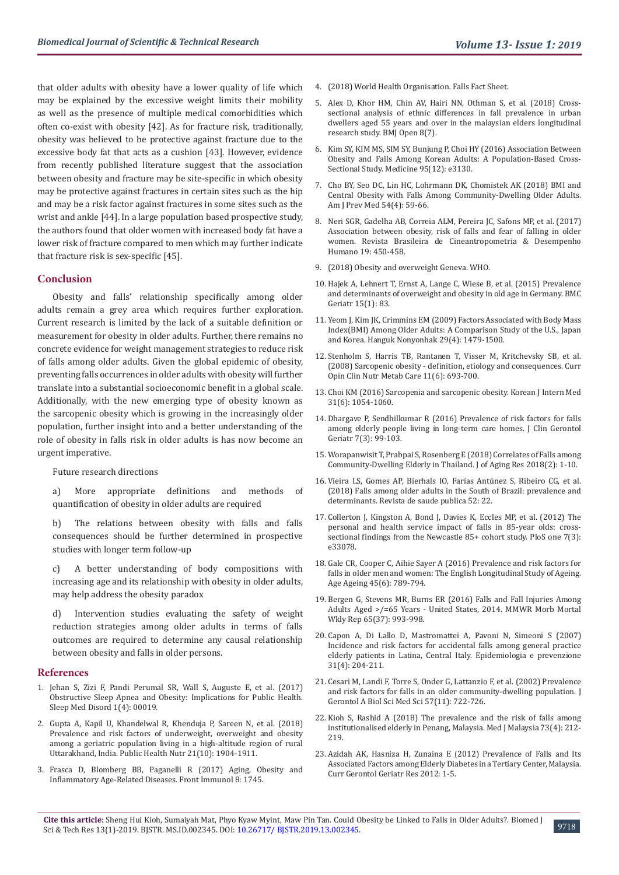that older adults with obesity have a lower quality of life which may be explained by the excessive weight limits their mobility as well as the presence of multiple medical comorbidities which often co-exist with obesity [42]. As for fracture risk, traditionally, obesity was believed to be protective against fracture due to the excessive body fat that acts as a cushion [43]. However, evidence from recently published literature suggest that the association between obesity and fracture may be site-specific in which obesity may be protective against fractures in certain sites such as the hip and may be a risk factor against fractures in some sites such as the wrist and ankle [44]. In a large population based prospective study, the authors found that older women with increased body fat have a lower risk of fracture compared to men which may further indicate that fracture risk is sex-specific [45].

#### **Conclusion**

Obesity and falls' relationship specifically among older adults remain a grey area which requires further exploration. Current research is limited by the lack of a suitable definition or measurement for obesity in older adults. Further, there remains no concrete evidence for weight management strategies to reduce risk of falls among older adults. Given the global epidemic of obesity, preventing falls occurrences in older adults with obesity will further translate into a substantial socioeconomic benefit in a global scale. Additionally, with the new emerging type of obesity known as the sarcopenic obesity which is growing in the increasingly older population, further insight into and a better understanding of the role of obesity in falls risk in older adults is has now become an urgent imperative.

Future research directions

a) More appropriate definitions and methods of quantification of obesity in older adults are required

b) The relations between obesity with falls and falls consequences should be further determined in prospective studies with longer term follow-up

c) A better understanding of body compositions with increasing age and its relationship with obesity in older adults, may help address the obesity paradox

d) Intervention studies evaluating the safety of weight reduction strategies among older adults in terms of falls outcomes are required to determine any causal relationship between obesity and falls in older persons.

#### **References**

- 1. [Jehan S, Zizi F, Pandi Perumal SR, Wall S, Auguste E, et al. \(2017\)](https://www.ncbi.nlm.nih.gov/pmc/articles/PMC5836788/)  [Obstructive Sleep Apnea and Obesity: Implications for Public Health.](https://www.ncbi.nlm.nih.gov/pmc/articles/PMC5836788/)  [Sleep Med Disord 1\(4\): 00019.](https://www.ncbi.nlm.nih.gov/pmc/articles/PMC5836788/)
- 2. [Gupta A, Kapil U, Khandelwal R, Khenduja P, Sareen N, et al. \(2018\)](https://www.ncbi.nlm.nih.gov/pubmed/29540252)  [Prevalence and risk factors of underweight, overweight and obesity](https://www.ncbi.nlm.nih.gov/pubmed/29540252)  [among a geriatric population living in a high-altitude region of rural](https://www.ncbi.nlm.nih.gov/pubmed/29540252)  [Uttarakhand, India. Public Health Nutr 21\(10\): 1904-1911.](https://www.ncbi.nlm.nih.gov/pubmed/29540252)
- 3. [Frasca D, Blomberg BB, Paganelli R \(2017\) Aging, Obesity and](https://www.ncbi.nlm.nih.gov/pmc/articles/PMC5725402/)  [Inflammatory Age-Related Diseases. Front Immunol 8: 1745.](https://www.ncbi.nlm.nih.gov/pmc/articles/PMC5725402/)
- 4. [\(2018\) World Health Organisation. Falls Fact Sheet.](https://www.who.int/en/news-room/fact-sheets/detail/falls)
- 5. [Alex D, Khor HM, Chin AV, Hairi NN, Othman S, et al. \(2018\) Cross](https://bmjopen.bmj.com/content/8/7/e019579)[sectional analysis of ethnic differences in fall prevalence in urban](https://bmjopen.bmj.com/content/8/7/e019579) [dwellers aged 55 years and over in the malaysian elders longitudinal](https://bmjopen.bmj.com/content/8/7/e019579) [research study. BMJ Open 8\(7\).](https://bmjopen.bmj.com/content/8/7/e019579)
- 6. [Kim SY, KIM MS, SIM SY, Bunjung P, Choi HY \(2016\) Association Between](https://www.ncbi.nlm.nih.gov/pubmed/27015190) [Obesity and Falls Among Korean Adults: A Population-Based Cross-](https://www.ncbi.nlm.nih.gov/pubmed/27015190)[Sectional Study. Medicine 95\(12\): e3130.](https://www.ncbi.nlm.nih.gov/pubmed/27015190)
- 7. [Cho BY, Seo DC, Lin HC, Lohrmann DK, Chomistek AK \(2018\) BMI and](https://www.ncbi.nlm.nih.gov/pubmed/29433954) [Central Obesity with Falls Among Community-Dwelling Older Adults.](https://www.ncbi.nlm.nih.gov/pubmed/29433954) [Am J Prev Med 54\(4\): 59-66.](https://www.ncbi.nlm.nih.gov/pubmed/29433954)
- 8. [Neri SGR, Gadelha AB, Correia ALM, Pereira JC, Safons MP, et al. \(2017\)](https://www.researchgate.net/publication/321722020_Association_between_obesity_risk_of_falls_and_fear_of_falling_in_older_women) [Association between obesity, risk of falls and fear of falling in older](https://www.researchgate.net/publication/321722020_Association_between_obesity_risk_of_falls_and_fear_of_falling_in_older_women) [women. Revista Brasileira de Cineantropometria & Desempenho](https://www.researchgate.net/publication/321722020_Association_between_obesity_risk_of_falls_and_fear_of_falling_in_older_women) [Humano 19: 450-458.](https://www.researchgate.net/publication/321722020_Association_between_obesity_risk_of_falls_and_fear_of_falling_in_older_women)
- 9. [\(2018\) Obesity and overweight Geneva. WHO.](https://www.who.int/news-room/fact-sheets/detail/obesity-and-overweight)
- 10. [Hajek A, Lehnert T, Ernst A, Lange C, Wiese B, et al. \(2015\) Prevalence](https://www.ncbi.nlm.nih.gov/pubmed/26170016) [and determinants of overweight and obesity in old age in Germany. BMC](https://www.ncbi.nlm.nih.gov/pubmed/26170016) [Geriatr 15\(1\): 83.](https://www.ncbi.nlm.nih.gov/pubmed/26170016)
- 11. [Yeom J, Kim JK, Crimmins EM \(2009\) Factors Associated with Body Mass](https://www.ncbi.nlm.nih.gov/pmc/articles/PMC4184278/) [Index\(BMI\) Among Older Adults: A Comparison Study of the U.S., Japan](https://www.ncbi.nlm.nih.gov/pmc/articles/PMC4184278/) [and Korea. Hanguk Nonyonhak 29\(4\): 1479-1500.](https://www.ncbi.nlm.nih.gov/pmc/articles/PMC4184278/)
- 12. [Stenholm S, Harris TB, Rantanen T, Visser M, Kritchevsky SB, et al.](https://www.ncbi.nlm.nih.gov/pmc/articles/PMC2633408/) [\(2008\) Sarcopenic obesity - definition, etiology and consequences. Curr](https://www.ncbi.nlm.nih.gov/pmc/articles/PMC2633408/) [Opin Clin Nutr Metab Care 11\(6\): 693-700.](https://www.ncbi.nlm.nih.gov/pmc/articles/PMC2633408/)
- 13. [Choi KM \(2016\) Sarcopenia and sarcopenic obesity. Korean J Intern Med](https://www.ncbi.nlm.nih.gov/pmc/articles/PMC5094937/) [31\(6\): 1054-1060.](https://www.ncbi.nlm.nih.gov/pmc/articles/PMC5094937/)
- 14. [Dhargave P, Sendhilkumar R \(2016\) Prevalence of risk factors for falls](https://www.sciencedirect.com/science/article/pii/S2210833516300181) [among elderly people living in long-term care homes. J Clin Gerontol](https://www.sciencedirect.com/science/article/pii/S2210833516300181) [Geriatr 7\(3\): 99-103.](https://www.sciencedirect.com/science/article/pii/S2210833516300181)
- 15. [Worapanwisit T, Prabpai S, Rosenberg E \(2018\) Correlates of Falls among](https://www.researchgate.net/publication/325365898_Correlates_of_Falls_among_Community-Dwelling_Elderly_in_Thailand) [Community-Dwelling Elderly in Thailand. J of Aging Res 2018\(2\): 1-10.](https://www.researchgate.net/publication/325365898_Correlates_of_Falls_among_Community-Dwelling_Elderly_in_Thailand)
- 16. [Vieira LS, Gomes AP, Bierhals IO, Farías Antúnez S, Ribeiro CG, et al.](https://www.ncbi.nlm.nih.gov/pubmed/29489998) [\(2018\) Falls among older adults in the South of Brazil: prevalence and](https://www.ncbi.nlm.nih.gov/pubmed/29489998) [determinants. Revista de saude publica 52: 22.](https://www.ncbi.nlm.nih.gov/pubmed/29489998)
- 17. [Collerton J, Kingston A, Bond J, Davies K, Eccles MP, et al. \(2012\) The](https://www.ncbi.nlm.nih.gov/pmc/articles/PMC3302867/) [personal and health service impact of falls in 85-year olds: cross](https://www.ncbi.nlm.nih.gov/pmc/articles/PMC3302867/)[sectional findings from the Newcastle 85+ cohort study. PloS one 7\(3\):](https://www.ncbi.nlm.nih.gov/pmc/articles/PMC3302867/) [e33078.](https://www.ncbi.nlm.nih.gov/pmc/articles/PMC3302867/)
- 18. [Gale CR, Cooper C, Aihie Sayer A \(2016\) Prevalence and risk factors for](https://www.ncbi.nlm.nih.gov/pubmed/27496938) [falls in older men and women: The English Longitudinal Study of Ageing.](https://www.ncbi.nlm.nih.gov/pubmed/27496938) [Age Ageing 45\(6\): 789-794.](https://www.ncbi.nlm.nih.gov/pubmed/27496938)
- 19. [Bergen G, Stevens MR, Burns ER \(2016\) Falls and Fall Injuries Among](https://www.ncbi.nlm.nih.gov/pubmed/27656914) [Adults Aged >/=65 Years - United States, 2014. MMWR Morb Mortal](https://www.ncbi.nlm.nih.gov/pubmed/27656914) [Wkly Rep 65\(37\): 993-998.](https://www.ncbi.nlm.nih.gov/pubmed/27656914)
- 20. [Capon A, Di Lallo D, Mastromattei A, Pavoni N, Simeoni S \(2007\)](https://www.researchgate.net/publication/5828306_Incidence_and_risk_factors_for_accidental_falls_among_general_practice_elderly_patients_in_Latina_Central_Italy) [Incidence and risk factors for accidental falls among general practice](https://www.researchgate.net/publication/5828306_Incidence_and_risk_factors_for_accidental_falls_among_general_practice_elderly_patients_in_Latina_Central_Italy) [elderly patients in Latina, Central Italy. Epidemiologia e prevenzione](https://www.researchgate.net/publication/5828306_Incidence_and_risk_factors_for_accidental_falls_among_general_practice_elderly_patients_in_Latina_Central_Italy) [31\(4\): 204-211.](https://www.researchgate.net/publication/5828306_Incidence_and_risk_factors_for_accidental_falls_among_general_practice_elderly_patients_in_Latina_Central_Italy)
- 21. [Cesari M, Landi F, Torre S, Onder G, Lattanzio F, et al. \(2002\) Prevalence](https://www.ncbi.nlm.nih.gov/pubmed/12403800) [and risk factors for falls in an older community-dwelling population. J](https://www.ncbi.nlm.nih.gov/pubmed/12403800) [Gerontol A Biol Sci Med Sci 57\(11\): 722-726.](https://www.ncbi.nlm.nih.gov/pubmed/12403800)
- 22. [Kioh S, Rashid A \(2018\) The prevalence and the risk of falls among](https://www.ncbi.nlm.nih.gov/pubmed/30121683) [institutionalised elderly in Penang, Malaysia. Med J Malaysia 73\(4\): 212-](https://www.ncbi.nlm.nih.gov/pubmed/30121683) [219.](https://www.ncbi.nlm.nih.gov/pubmed/30121683)
- 23. [Azidah AK, Hasniza H, Zunaina E \(2012\) Prevalence of Falls and Its](https://www.hindawi.com/journals/cggr/2012/539073/) [Associated Factors among Elderly Diabetes in a Tertiary Center, Malaysia.](https://www.hindawi.com/journals/cggr/2012/539073/) [Curr Gerontol Geriatr Res 2012: 1-5.](https://www.hindawi.com/journals/cggr/2012/539073/)